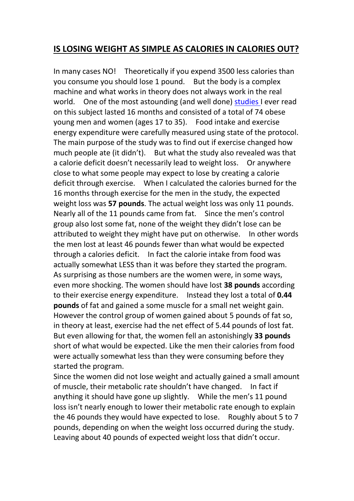## **IS LOSING WEIGHT AS SIMPLE AS CALORIES IN CALORIES OUT?**

In many cases NO! Theoretically if you expend 3500 less calories than you consume you should lose 1 pound. But the body is a complex machine and what works in theory does not always work in the real world. One of the most astounding (and well done) [studies](https://academic.oup.com/ajcn/article/78/5/950/4677504) I ever read on this subject lasted 16 months and consisted of a total of 74 obese young men and women (ages 17 to 35). Food intake and exercise energy expenditure were carefully measured using state of the protocol. The main purpose of the study was to find out if exercise changed how much people ate (it didn't). But what the study also revealed was that a calorie deficit doesn't necessarily lead to weight loss. Or anywhere close to what some people may expect to lose by creating a calorie deficit through exercise. When I calculated the calories burned for the 16 months through exercise for the men in the study, the expected weight loss was **57 pounds**. The actual weight loss was only 11 pounds. Nearly all of the 11 pounds came from fat. Since the men's control group also lost some fat, none of the weight they didn't lose can be attributed to weight they might have put on otherwise. In other words the men lost at least 46 pounds fewer than what would be expected through a calories deficit. In fact the calorie intake from food was actually somewhat LESS than it was before they started the program. As surprising as those numbers are the women were, in some ways, even more shocking. The women should have lost **38 pounds** according to their exercise energy expenditure. Instead they lost a total of **0.44 pounds** of fat and gained a some muscle for a small net weight gain. However the control group of women gained about 5 pounds of fat so, in theory at least, exercise had the net effect of 5.44 pounds of lost fat.But even allowing for that, the women fell an astonishingly **<sup>33</sup> pounds** short of what would be expected. Like the men their calories from food were actually somewhat less than they were consuming before they started the program.

Since the women did not lose weight and actually gained a small amount of muscle, their metabolic rate shouldn't have changed. In fact if anything it should have gone up slightly. While the men's 11 pound loss isn't nearly enough to lower their metabolic rate enough to explain the 46 pounds they would have expected to lose. Roughly about 5 to 7 pounds, depending on when the weight loss occurred during the study. Leaving about 40 pounds of expected weight loss that didn't occur.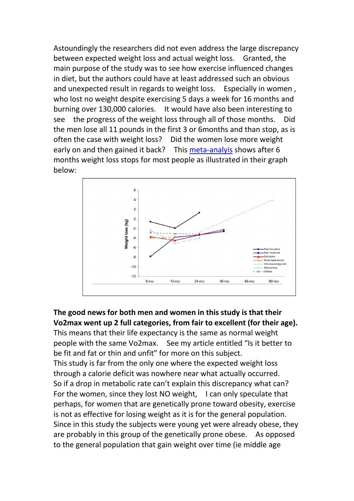Astoundingly the researchers did not even address the large discrepancy between expected weight loss and actual weight loss. Granted, the main purpose of the study was to see how exercise influenced changes in diet, but the authors could have at least addressed such an obvious and unexpected result in regards to weight loss. Especially in women , who lost no weight despite exercising 5 days a week for 16 months and burning over 130,000 calories. It would have also been interesting to see the progress of the weight loss through all of those months. Did the men lose all 11 pounds in the first 3 or 6months and than stop, as is often the case with weight loss? Did the women lose more weight early on and then gained it back? This [meta-analyis](https://www.anniebkay.com/wp-content/uploads/2010/02/Research-Meta-Analysis-of-Weight-Loss-Interventions.pdf) shows after 6 months weight loss stops for most people as illustrated in their graph below:



**The good news for both men and women in this study is that their Vo2max went up 2 full categories, from fair to excellent (for their age).** This means that their life expectancy is the same as normal weight

people with the same Vo2max. See my article entitled "Is it better to be fit and fat or thin and unfit" for more on this subject. This study is far from the only one where the expected weight loss through a calorie deficit was nowhere near what actually occurred. So if a drop in metabolic rate can't explain this discrepancy what can? For the women, since they lost NO weight, I can only speculate that perhaps, for women that are genetically prone toward obesity, exercise is not as effective for losing weight as it is for the general population. Since in this study the subjects were young yet were already obese, they are probably in this group of the genetically prone obese. As opposed to the general population that gain weight over time (ie middle age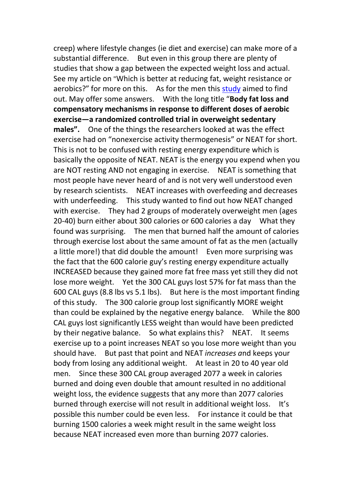creep) where lifestyle changes (ie diet and exercise) can make more of a substantial difference. But even in this group there are plenty of studies that show a gap between the expected weight loss and actual. See my article on "Which is better at reducing fat, weight resistance or aerobics?" for more on this. As for the men this [study](https://www.physiology.org/doi/full/10.1152/ajpregu.00141.2012) aimed to find out. May offer some answers. With the long title "**Body fat loss and compensatory mechanisms in response to different doses of aerobic exercise—a randomized controlled trial in overweight sedentary males".** One of the things the researchers looked at was the effect exercise had on "nonexercise activity thermogenesis" or NEAT for short. This is not to be confused with resting energy expenditure which is basically the opposite of NEAT. NEAT is the energy you expend when you are NOT resting AND not engaging in exercise. NEAT is something that most people have never heard of and is not very well understood even by research scientists. NEAT increases with overfeeding and decreases with underfeeding. This study wanted to find out how NEAT changed with exercise. They had 2 groups of moderately overweight men (ages 20-40) burn either about 300 calories or 600 calories a day What they found was surprising. The men that burned half the amount of calories through exercise lost about the same amount of fat as the men (actually a little more!) that did double the amount! Even more surprising was the fact that the 600 calorie guy's resting energy expenditure actually INCREASED because they gained more fat free mass yet still they did not lose more weight. Yet the 300 CAL guys lost 57% for fat mass than the 600 CAL guys (8.8 lbs vs 5.1 lbs). But here is the most important finding of this study. The 300 calorie group lost significantly MORE weight than could be explained by the negative energy balance. While the 800 CAL guys lost significantly LESS weight than would have been predicted by their negative balance. So what explains this? NEAT. It seems exercise up to a point increases NEAT so you lose more weight than you should have. But past that point and NEAT *increases a*nd keeps your body from losing any additional weight. At least in 20 to 40 year old men. Since these 300 CAL group averaged 2077 a week in calories burned and doing even double that amount resulted in no additional weight loss, the evidence suggests that any more than 2077 calories burned through exercise will not result in additional weight loss. It's possible this number could be even less. For instance it could be that burning 1500 calories a week might result in the same weight loss because NEAT increased even more than burning 2077 calories.